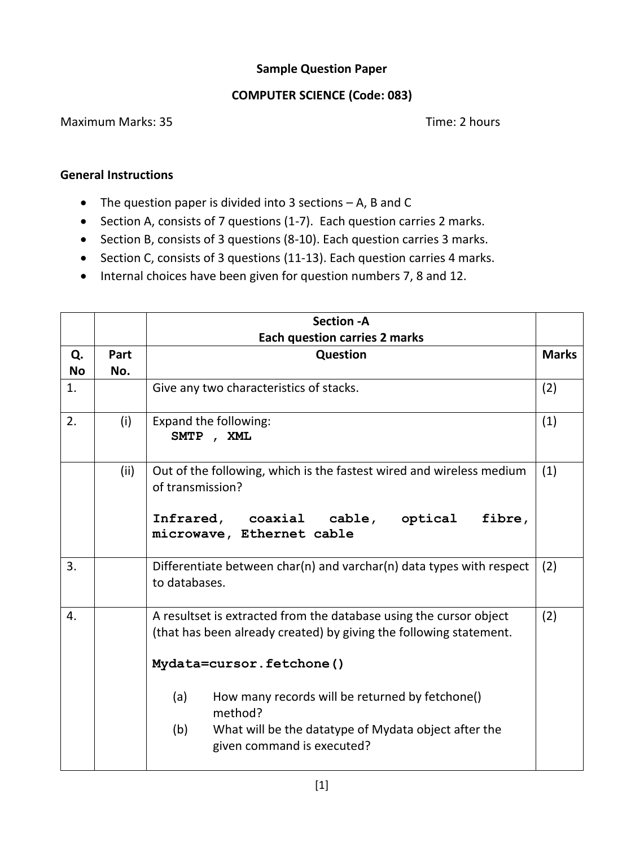## **Sample Question Paper**

## **COMPUTER SCIENCE (Code: 083)**

## Maximum Marks: 35 Time: 2 hours

## **General Instructions**

- The question paper is divided into 3 sections A, B and C
- Section A, consists of 7 questions (1-7). Each question carries 2 marks.
- Section B, consists of 3 questions (8-10). Each question carries 3 marks.
- Section C, consists of 3 questions (11-13). Each question carries 4 marks.
- Internal choices have been given for question numbers 7, 8 and 12.

|           |      | <b>Section - A</b>                                                                                                                                                                                                                                                                                                                     |              |  |  |  |  |  |
|-----------|------|----------------------------------------------------------------------------------------------------------------------------------------------------------------------------------------------------------------------------------------------------------------------------------------------------------------------------------------|--------------|--|--|--|--|--|
|           |      | <b>Each question carries 2 marks</b>                                                                                                                                                                                                                                                                                                   |              |  |  |  |  |  |
| Q.        | Part | Question                                                                                                                                                                                                                                                                                                                               | <b>Marks</b> |  |  |  |  |  |
| <b>No</b> | No.  |                                                                                                                                                                                                                                                                                                                                        |              |  |  |  |  |  |
| 1.        |      | Give any two characteristics of stacks.                                                                                                                                                                                                                                                                                                | (2)          |  |  |  |  |  |
| 2.        | (i)  | Expand the following:<br>SMTP, XML                                                                                                                                                                                                                                                                                                     | (1)          |  |  |  |  |  |
|           | (ii) | Out of the following, which is the fastest wired and wireless medium<br>of transmission?<br>Infrared, coaxial cable, optical<br>fibre,<br>microwave, Ethernet cable                                                                                                                                                                    | (1)          |  |  |  |  |  |
|           |      |                                                                                                                                                                                                                                                                                                                                        |              |  |  |  |  |  |
| 3.        |      | Differentiate between char(n) and varchar(n) data types with respect<br>to databases.                                                                                                                                                                                                                                                  | (2)          |  |  |  |  |  |
| 4.        |      | A resultset is extracted from the database using the cursor object<br>(that has been already created) by giving the following statement.<br>Mydata=cursor.fetchone()<br>(a)<br>How many records will be returned by fetchone()<br>method?<br>(b)<br>What will be the datatype of Mydata object after the<br>given command is executed? | (2)          |  |  |  |  |  |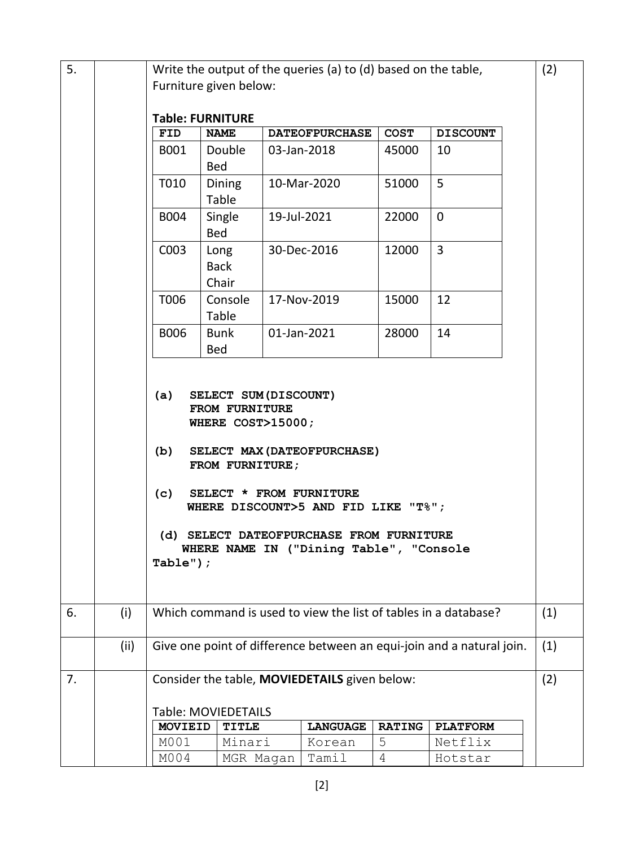| 5. |      | (2)<br>Write the output of the queries (a) to (d) based on the table,                               |                                                              |             |                       |               |                 |     |  |  |  |
|----|------|-----------------------------------------------------------------------------------------------------|--------------------------------------------------------------|-------------|-----------------------|---------------|-----------------|-----|--|--|--|
|    |      | Furniture given below:                                                                              |                                                              |             |                       |               |                 |     |  |  |  |
|    |      |                                                                                                     |                                                              |             |                       |               |                 |     |  |  |  |
|    |      |                                                                                                     | <b>Table: FURNITURE</b>                                      |             |                       |               |                 |     |  |  |  |
|    |      | <b>FID</b>                                                                                          | <b>NAME</b>                                                  |             | <b>DATEOFPURCHASE</b> | <b>COST</b>   | <b>DISCOUNT</b> |     |  |  |  |
|    |      | B001                                                                                                | Double                                                       |             | 03-Jan-2018           | 45000         | 10              |     |  |  |  |
|    |      |                                                                                                     | Bed                                                          |             |                       |               |                 |     |  |  |  |
|    |      | T010                                                                                                | Dining<br>Table                                              |             | 10-Mar-2020           | 51000         | 5               |     |  |  |  |
|    |      | B004                                                                                                | Single<br>Bed                                                | 19-Jul-2021 |                       | 22000         | $\mathbf 0$     |     |  |  |  |
|    |      | C003                                                                                                | Long<br><b>Back</b><br>Chair                                 |             | 30-Dec-2016           | 12000         | 3               |     |  |  |  |
|    |      | T006                                                                                                | Console<br>Table                                             |             | 17-Nov-2019           | 15000         | 12              |     |  |  |  |
|    |      | <b>B006</b>                                                                                         | <b>Bunk</b><br>Bed                                           |             | 01-Jan-2021           | 28000         | 14              |     |  |  |  |
|    |      |                                                                                                     |                                                              |             |                       |               |                 |     |  |  |  |
|    |      | (a)                                                                                                 | SELECT SUM (DISCOUNT)<br>FROM FURNITURE<br>WHERE COST>15000; |             |                       |               |                 |     |  |  |  |
|    |      | (b)<br>SELECT MAX (DATEOFPURCHASE)<br>FROM FURNITURE;                                               |                                                              |             |                       |               |                 |     |  |  |  |
|    |      | (c)<br>SELECT * FROM FURNITURE<br>WHERE DISCOUNT>5 AND FID LIKE "T%";                               |                                                              |             |                       |               |                 |     |  |  |  |
|    |      | (d) SELECT DATEOFPURCHASE FROM FURNITURE<br>WHERE NAME IN ("Dining Table", "Console<br>Table" $)$ ; |                                                              |             |                       |               |                 |     |  |  |  |
| 6. | (i)  | Which command is used to view the list of tables in a database?<br>(1)                              |                                                              |             |                       |               |                 |     |  |  |  |
|    | (ii) | Give one point of difference between an equi-join and a natural join.                               |                                                              |             |                       |               |                 | (1) |  |  |  |
| 7. |      | Consider the table, MOVIEDETAILS given below:<br>(2)                                                |                                                              |             |                       |               |                 |     |  |  |  |
|    |      | Table: MOVIEDETAILS                                                                                 |                                                              |             |                       |               |                 |     |  |  |  |
|    |      | <b>MOVIEID</b>                                                                                      | <b>TITLE</b>                                                 |             | <b>LANGUAGE</b>       | <b>RATING</b> | <b>PLATFORM</b> |     |  |  |  |
|    |      | M001                                                                                                | Minari                                                       |             | Korean                | 5             | Netflix         |     |  |  |  |
|    |      | M004                                                                                                | MGR Magan                                                    |             | Tamil                 | 4             | Hotstar         |     |  |  |  |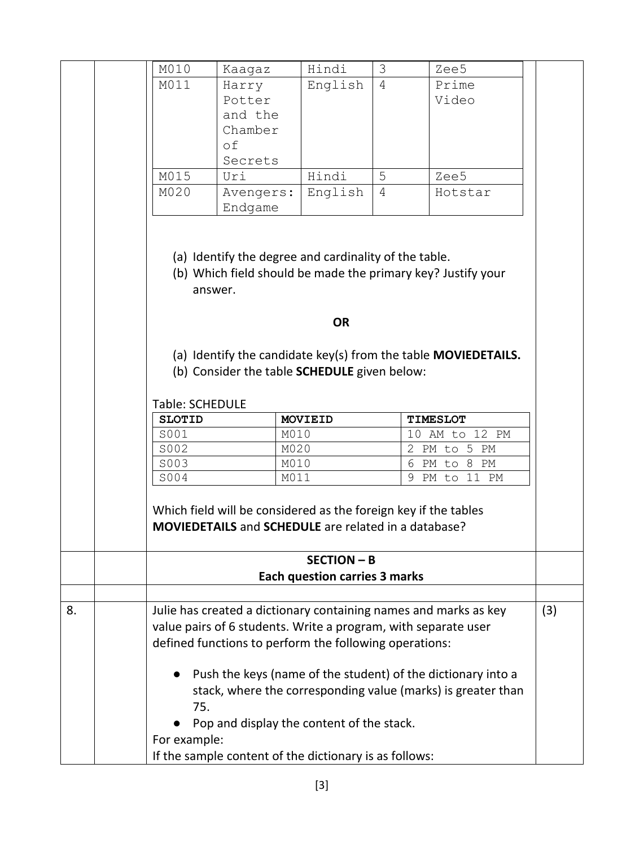|                                                                                                                                  |                                                                                                                                                                                  | M010                                                                                                                                  | Kaagaz                                       | Hindi                                | 3 | Zee5                                                           |  |  |  |
|----------------------------------------------------------------------------------------------------------------------------------|----------------------------------------------------------------------------------------------------------------------------------------------------------------------------------|---------------------------------------------------------------------------------------------------------------------------------------|----------------------------------------------|--------------------------------------|---|----------------------------------------------------------------|--|--|--|
|                                                                                                                                  |                                                                                                                                                                                  | M011                                                                                                                                  | Harry                                        | English                              | 4 | Prime                                                          |  |  |  |
|                                                                                                                                  |                                                                                                                                                                                  |                                                                                                                                       | Potter                                       |                                      |   | Video                                                          |  |  |  |
|                                                                                                                                  |                                                                                                                                                                                  |                                                                                                                                       | and the                                      |                                      |   |                                                                |  |  |  |
|                                                                                                                                  |                                                                                                                                                                                  |                                                                                                                                       | Chamber                                      |                                      |   |                                                                |  |  |  |
|                                                                                                                                  |                                                                                                                                                                                  |                                                                                                                                       | оf                                           |                                      |   |                                                                |  |  |  |
|                                                                                                                                  |                                                                                                                                                                                  |                                                                                                                                       | Secrets                                      |                                      |   |                                                                |  |  |  |
|                                                                                                                                  |                                                                                                                                                                                  | M015                                                                                                                                  | Uri                                          | Hindi                                | 5 | Zee5                                                           |  |  |  |
|                                                                                                                                  |                                                                                                                                                                                  | M020                                                                                                                                  | Avengers:                                    | English                              | 4 | Hotstar                                                        |  |  |  |
|                                                                                                                                  |                                                                                                                                                                                  |                                                                                                                                       | Endgame                                      |                                      |   |                                                                |  |  |  |
| (a) Identify the degree and cardinality of the table.<br>(b) Which field should be made the primary key? Justify your<br>answer. |                                                                                                                                                                                  |                                                                                                                                       |                                              |                                      |   |                                                                |  |  |  |
|                                                                                                                                  |                                                                                                                                                                                  |                                                                                                                                       |                                              | <b>OR</b>                            |   |                                                                |  |  |  |
|                                                                                                                                  |                                                                                                                                                                                  |                                                                                                                                       | (b) Consider the table SCHEDULE given below: |                                      |   | (a) Identify the candidate key(s) from the table MOVIEDETAILS. |  |  |  |
|                                                                                                                                  |                                                                                                                                                                                  | Table: SCHEDULE                                                                                                                       |                                              |                                      |   |                                                                |  |  |  |
|                                                                                                                                  |                                                                                                                                                                                  | <b>SLOTID</b>                                                                                                                         |                                              | <b>MOVIEID</b>                       |   | <b>TIMESLOT</b>                                                |  |  |  |
|                                                                                                                                  |                                                                                                                                                                                  | S001                                                                                                                                  | M010                                         |                                      |   | 10 AM to 12 PM                                                 |  |  |  |
|                                                                                                                                  |                                                                                                                                                                                  | S002                                                                                                                                  | M020                                         |                                      |   | 2 PM to 5 PM                                                   |  |  |  |
|                                                                                                                                  |                                                                                                                                                                                  | S003                                                                                                                                  | M010                                         |                                      |   | 6 PM to 8 PM                                                   |  |  |  |
|                                                                                                                                  |                                                                                                                                                                                  | S004                                                                                                                                  | M011                                         |                                      |   | 9 PM to 11 PM                                                  |  |  |  |
|                                                                                                                                  |                                                                                                                                                                                  | Which field will be considered as the foreign key if the tables<br><b>MOVIEDETAILS</b> and <b>SCHEDULE</b> are related in a database? |                                              |                                      |   |                                                                |  |  |  |
|                                                                                                                                  |                                                                                                                                                                                  |                                                                                                                                       |                                              | <b>SECTION - B</b>                   |   |                                                                |  |  |  |
|                                                                                                                                  |                                                                                                                                                                                  |                                                                                                                                       |                                              | <b>Each question carries 3 marks</b> |   |                                                                |  |  |  |
| 8.                                                                                                                               | Julie has created a dictionary containing names and marks as key<br>value pairs of 6 students. Write a program, with separate user                                               |                                                                                                                                       |                                              |                                      |   |                                                                |  |  |  |
|                                                                                                                                  |                                                                                                                                                                                  | defined functions to perform the following operations:                                                                                |                                              |                                      |   |                                                                |  |  |  |
|                                                                                                                                  | Push the keys (name of the student) of the dictionary into a<br>stack, where the corresponding value (marks) is greater than<br>75.<br>Pop and display the content of the stack. |                                                                                                                                       |                                              |                                      |   |                                                                |  |  |  |
| For example:                                                                                                                     |                                                                                                                                                                                  |                                                                                                                                       |                                              |                                      |   |                                                                |  |  |  |
| If the sample content of the dictionary is as follows:                                                                           |                                                                                                                                                                                  |                                                                                                                                       |                                              |                                      |   |                                                                |  |  |  |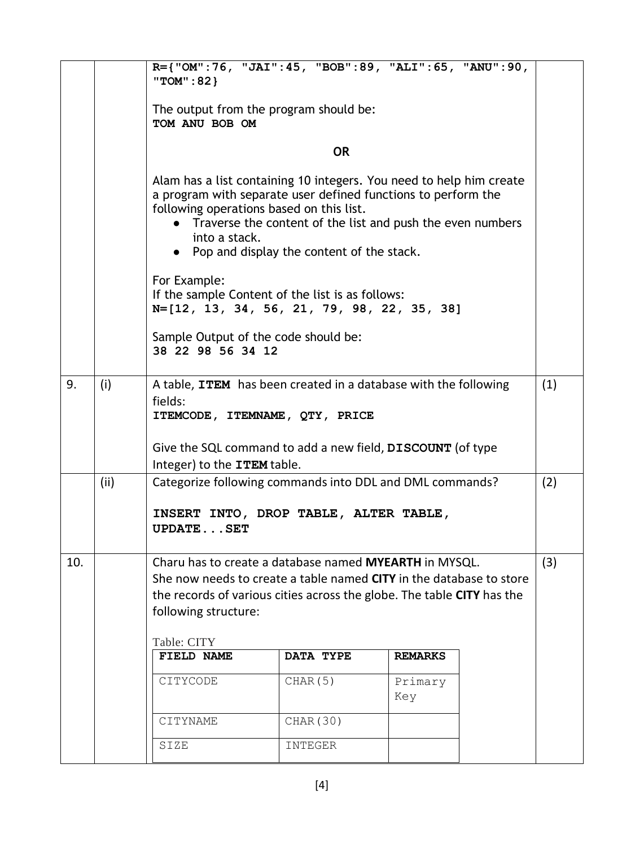|     |      | R={"OM":76, "JAI":45, "BOB":89, "ALI":65, "ANU":90,<br>"TOM": 82 }                                                                                                                                                                                                                                             |           |                |  |     |  |  |  |  |
|-----|------|----------------------------------------------------------------------------------------------------------------------------------------------------------------------------------------------------------------------------------------------------------------------------------------------------------------|-----------|----------------|--|-----|--|--|--|--|
|     |      | The output from the program should be:<br>TOM ANU BOB OM                                                                                                                                                                                                                                                       |           |                |  |     |  |  |  |  |
|     |      | <b>OR</b>                                                                                                                                                                                                                                                                                                      |           |                |  |     |  |  |  |  |
|     |      | Alam has a list containing 10 integers. You need to help him create<br>a program with separate user defined functions to perform the<br>following operations based on this list.<br>Traverse the content of the list and push the even numbers<br>into a stack.<br>• Pop and display the content of the stack. |           |                |  |     |  |  |  |  |
|     |      | For Example:<br>If the sample Content of the list is as follows:<br>N=[12, 13, 34, 56, 21, 79, 98, 22, 35, 38]                                                                                                                                                                                                 |           |                |  |     |  |  |  |  |
|     |      | Sample Output of the code should be:<br>38 22 98 56 34 12                                                                                                                                                                                                                                                      |           |                |  |     |  |  |  |  |
| 9.  | (i)  | A table, ITEM has been created in a database with the following<br>(1)<br>fields:<br>ITEMCODE, ITEMNAME, QTY, PRICE                                                                                                                                                                                            |           |                |  |     |  |  |  |  |
|     |      | Give the SQL command to add a new field, DISCOUNT (of type<br>Integer) to the ITEM table.                                                                                                                                                                                                                      |           |                |  |     |  |  |  |  |
|     | (ii) | Categorize following commands into DDL and DML commands?                                                                                                                                                                                                                                                       |           |                |  | (2) |  |  |  |  |
|     |      | INSERT INTO, DROP TABLE, ALTER TABLE,<br><b>UPDATESET</b>                                                                                                                                                                                                                                                      |           |                |  |     |  |  |  |  |
| 10. |      | Charu has to create a database named MYEARTH in MYSQL.<br>(3)<br>She now needs to create a table named CITY in the database to store<br>the records of various cities across the globe. The table CITY has the<br>following structure:                                                                         |           |                |  |     |  |  |  |  |
|     |      | Table: CITY<br>FIELD NAME                                                                                                                                                                                                                                                                                      | DATA TYPE | <b>REMARKS</b> |  |     |  |  |  |  |
|     |      | CITYCODE                                                                                                                                                                                                                                                                                                       | CHAR (5)  | Primary<br>Key |  |     |  |  |  |  |
|     |      | CITYNAME                                                                                                                                                                                                                                                                                                       | CHAR (30) |                |  |     |  |  |  |  |
|     |      | SIZE                                                                                                                                                                                                                                                                                                           | INTEGER   |                |  |     |  |  |  |  |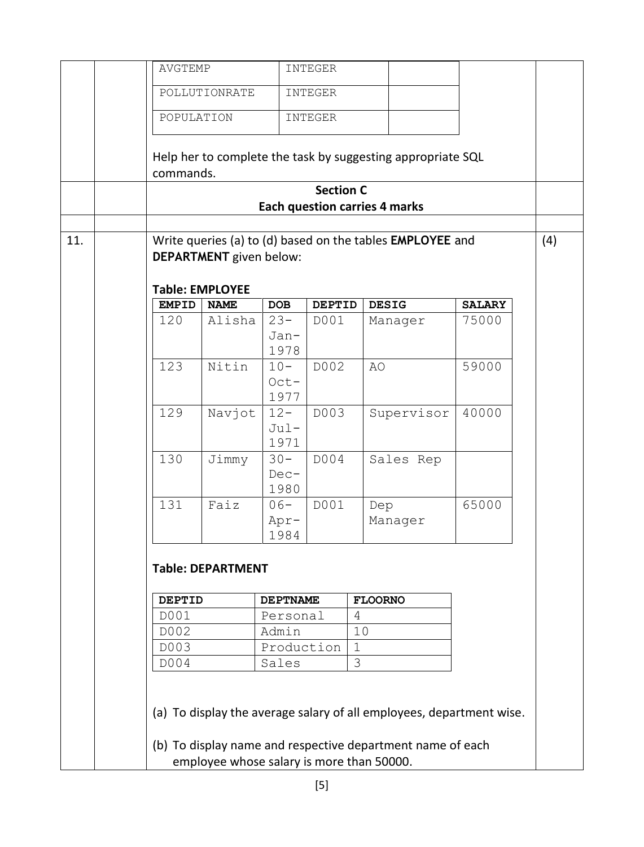|                                                                                                                                                                                 |  | AVGTEMP                                                                                            |                        |                                      | INTEGER          |             |                                                             |               |  |
|---------------------------------------------------------------------------------------------------------------------------------------------------------------------------------|--|----------------------------------------------------------------------------------------------------|------------------------|--------------------------------------|------------------|-------------|-------------------------------------------------------------|---------------|--|
|                                                                                                                                                                                 |  |                                                                                                    |                        |                                      |                  |             |                                                             |               |  |
|                                                                                                                                                                                 |  |                                                                                                    | POLLUTIONRATE          |                                      | INTEGER          |             |                                                             |               |  |
|                                                                                                                                                                                 |  | POPULATION                                                                                         |                        |                                      | INTEGER          |             |                                                             |               |  |
|                                                                                                                                                                                 |  | commands.                                                                                          |                        |                                      |                  |             | Help her to complete the task by suggesting appropriate SQL |               |  |
|                                                                                                                                                                                 |  |                                                                                                    |                        |                                      | <b>Section C</b> |             |                                                             |               |  |
|                                                                                                                                                                                 |  |                                                                                                    |                        | <b>Each question carries 4 marks</b> |                  |             |                                                             |               |  |
|                                                                                                                                                                                 |  |                                                                                                    |                        |                                      |                  |             |                                                             |               |  |
| 11.                                                                                                                                                                             |  | Write queries (a) to (d) based on the tables EMPLOYEE and<br>(4)<br><b>DEPARTMENT</b> given below: |                        |                                      |                  |             |                                                             |               |  |
|                                                                                                                                                                                 |  |                                                                                                    | <b>Table: EMPLOYEE</b> |                                      |                  |             |                                                             |               |  |
|                                                                                                                                                                                 |  | <b>EMPID</b>                                                                                       | <b>NAME</b>            | <b>DOB</b>                           | <b>DEPTID</b>    |             | <b>DESIG</b>                                                | <b>SALARY</b> |  |
|                                                                                                                                                                                 |  | 120                                                                                                | Alisha                 | $23 -$                               | D001             |             | Manager                                                     | 75000         |  |
|                                                                                                                                                                                 |  |                                                                                                    |                        | Jan-<br>1978                         |                  |             |                                                             |               |  |
|                                                                                                                                                                                 |  | 123                                                                                                | Nitin                  | $10-$                                | D002             | AO          |                                                             | 59000         |  |
|                                                                                                                                                                                 |  |                                                                                                    |                        | $Oct-$<br>1977                       |                  |             |                                                             |               |  |
|                                                                                                                                                                                 |  | 129                                                                                                | Navjot                 | $12 -$<br>$Jul -$<br>1971            | D003             |             | Supervisor                                                  | 40000         |  |
|                                                                                                                                                                                 |  | 130                                                                                                | Jimmy                  | $30 -$<br>$Dec-$<br>1980             | D004             |             | Sales Rep                                                   |               |  |
|                                                                                                                                                                                 |  | 131                                                                                                | Faiz                   | $06-$<br>Apr-<br>1984                | D001             | Dep         | Manager                                                     | 65000         |  |
|                                                                                                                                                                                 |  | <b>Table: DEPARTMENT</b><br><b>FLOORNO</b><br><b>DEPTID</b><br><b>DEPTNAME</b>                     |                        |                                      |                  |             |                                                             |               |  |
|                                                                                                                                                                                 |  | D001                                                                                               |                        | Personal                             |                  | 4           |                                                             |               |  |
|                                                                                                                                                                                 |  | D002                                                                                               |                        | Admin                                |                  | 10          |                                                             |               |  |
|                                                                                                                                                                                 |  | D003                                                                                               |                        | Production                           |                  | $\mathbf 1$ |                                                             |               |  |
|                                                                                                                                                                                 |  | D004                                                                                               |                        | Sales                                |                  | 3           |                                                             |               |  |
| (a) To display the average salary of all employees, department wise.<br>(b) To display name and respective department name of each<br>employee whose salary is more than 50000. |  |                                                                                                    |                        |                                      |                  |             |                                                             |               |  |
|                                                                                                                                                                                 |  |                                                                                                    |                        |                                      |                  |             |                                                             |               |  |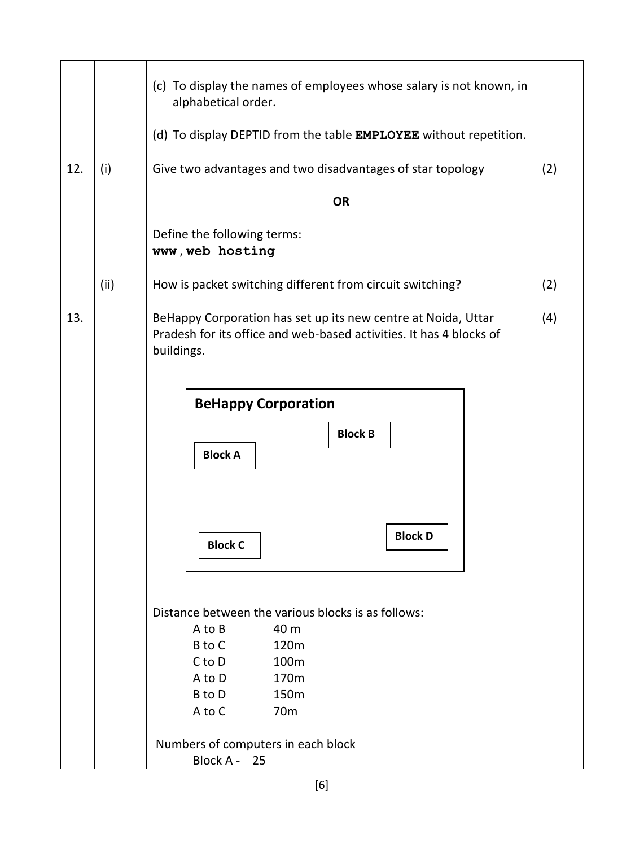|     |      | (c) To display the names of employees whose salary is not known, in<br>alphabetical order.<br>(d) To display DEPTID from the table EMPLOYEE without repetition.           |     |  |  |  |  |  |
|-----|------|---------------------------------------------------------------------------------------------------------------------------------------------------------------------------|-----|--|--|--|--|--|
| 12. | (i)  | Give two advantages and two disadvantages of star topology                                                                                                                |     |  |  |  |  |  |
|     |      |                                                                                                                                                                           | (2) |  |  |  |  |  |
|     |      | <b>OR</b>                                                                                                                                                                 |     |  |  |  |  |  |
|     |      | Define the following terms:<br>www, web hosting                                                                                                                           |     |  |  |  |  |  |
|     | (ii) | How is packet switching different from circuit switching?                                                                                                                 | (2) |  |  |  |  |  |
| 13. |      | BeHappy Corporation has set up its new centre at Noida, Uttar<br>Pradesh for its office and web-based activities. It has 4 blocks of<br>buildings.                        | (4) |  |  |  |  |  |
|     |      | <b>BeHappy Corporation</b>                                                                                                                                                |     |  |  |  |  |  |
|     |      | <b>Block B</b><br><b>Block A</b>                                                                                                                                          |     |  |  |  |  |  |
|     |      | <b>Block D</b><br><b>Block C</b>                                                                                                                                          |     |  |  |  |  |  |
|     |      | Distance between the various blocks is as follows:<br>40 m<br>A to B<br>B to C<br>120m<br>100m<br>C to D<br>A to D<br>170m<br>B to D<br>150m<br>A to C<br>70 <sub>m</sub> |     |  |  |  |  |  |
|     |      | Numbers of computers in each block<br>Block A - 25                                                                                                                        |     |  |  |  |  |  |